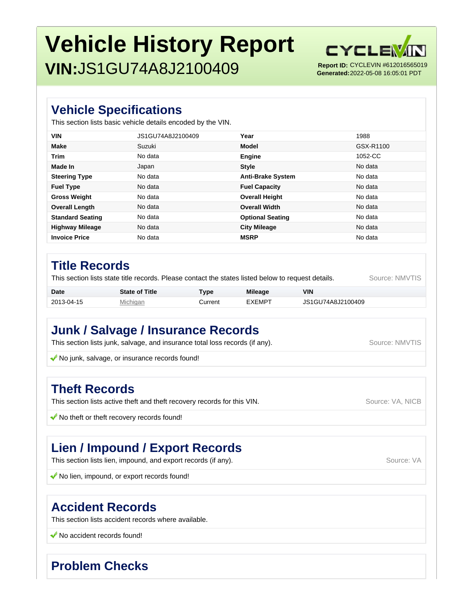# **Vehicle History Report VIN:**JS1GU74A8J2100409



**Generated:** 2022-05-08 16:05:01 PDT

#### **Vehicle Specifications**

This section lists basic vehicle details encoded by the VIN.

| <b>VIN</b>              | JS1GU74A8J2100409 | Year                     | 1988      |
|-------------------------|-------------------|--------------------------|-----------|
| <b>Make</b>             | Suzuki            | Model                    | GSX-R1100 |
| <b>Trim</b>             | No data           | Engine                   | 1052-CC   |
| Made In                 | Japan             | <b>Style</b>             | No data   |
| <b>Steering Type</b>    | No data           | <b>Anti-Brake System</b> | No data   |
| <b>Fuel Type</b>        | No data           | <b>Fuel Capacity</b>     | No data   |
| <b>Gross Weight</b>     | No data           | <b>Overall Height</b>    | No data   |
| <b>Overall Length</b>   | No data           | <b>Overall Width</b>     | No data   |
| <b>Standard Seating</b> | No data           | <b>Optional Seating</b>  | No data   |
| <b>Highway Mileage</b>  | No data           | <b>City Mileage</b>      | No data   |
| <b>Invoice Price</b>    | No data           | <b>MSRP</b>              | No data   |

#### **Title Records**

This section lists state title records. Please contact the states listed below to request details. Source: NMVTIS

| <b>Date</b> | <b>State of Title</b> | <b>Type</b> | <b>Mileage</b> | VIN               |
|-------------|-----------------------|-------------|----------------|-------------------|
| 2013-04-15  | Michigan              | ∴urrent     | EXEMPT         | JS1GU74A8J2100409 |

## **Junk / Salvage / Insurance Records**

This section lists junk, salvage, and insurance total loss records (if any). Source: NMVTIS

No junk, salvage, or insurance records found!

#### **Theft Records**

This section lists active theft and theft recovery records for this VIN. Source: VA, NICB

 $\blacklozenge$  No theft or theft recovery records found!

# **Lien / Impound / Export Records**

This section lists lien, impound, and export records (if any). This section lists lien, impound, and export records (if any).

K No lien, impound, or export records found!

### **Accident Records**

This section lists accident records where available.

◆ No accident records found!

# **Problem Checks**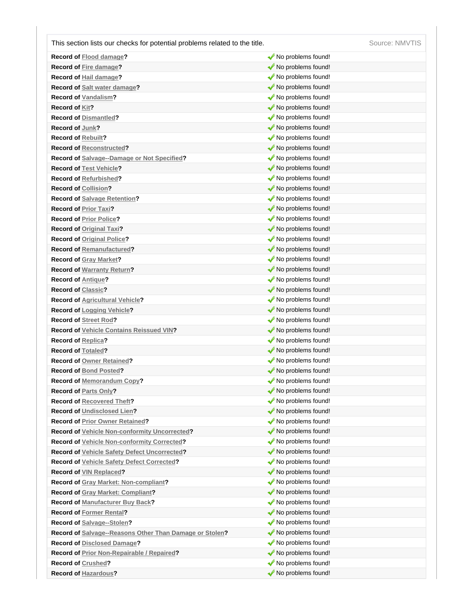This section lists our checks for potential problems related to the title. Source: NMVTIS

| <b>Record of Flood damage?</b>                          | No problems found! |
|---------------------------------------------------------|--------------------|
| <b>Record of Fire damage?</b>                           | No problems found! |
| Record of Hail damage?                                  | No problems found! |
| Record of Salt water damage?                            | No problems found! |
| <b>Record of Vandalism?</b>                             | No problems found! |
| <b>Record of Kit?</b>                                   | No problems found! |
| <b>Record of Dismantled?</b>                            | No problems found! |
| Record of Junk?                                         | No problems found! |
| <b>Record of Rebuilt?</b>                               | No problems found! |
| <b>Record of Reconstructed?</b>                         | No problems found! |
| Record of Salvage--Damage or Not Specified?             | No problems found! |
| <b>Record of Test Vehicle?</b>                          | No problems found! |
| <b>Record of Refurbished?</b>                           | No problems found! |
| <b>Record of Collision?</b>                             | No problems found! |
| <b>Record of Salvage Retention?</b>                     | No problems found! |
| <b>Record of Prior Taxi?</b>                            | No problems found! |
| <b>Record of Prior Police?</b>                          | No problems found! |
| <b>Record of Original Taxi?</b>                         | No problems found! |
| <b>Record of Original Police?</b>                       | No problems found! |
| <b>Record of Remanufactured?</b>                        | No problems found! |
| <b>Record of Gray Market?</b>                           | No problems found! |
| <b>Record of Warranty Return?</b>                       | No problems found! |
| <b>Record of Antique?</b>                               | No problems found! |
| <b>Record of Classic?</b>                               | No problems found! |
| <b>Record of Agricultural Vehicle?</b>                  | No problems found! |
| Record of Logging Vehicle?                              | No problems found! |
| Record of Street Rod?                                   | No problems found! |
| <b>Record of Vehicle Contains Reissued VIN?</b>         | No problems found! |
| <b>Record of Replica?</b>                               | No problems found! |
| <b>Record of Totaled?</b>                               | No problems found! |
| <b>Record of Owner Retained?</b>                        | No problems found! |
| <b>Record of Bond Posted?</b>                           | No problems found! |
| <b>Record of Memorandum Copy?</b>                       | No problems found! |
| <b>Record of Parts Only?</b>                            | No problems found! |
| <b>Record of Recovered Theft?</b>                       | No problems found! |
| <b>Record of Undisclosed Lien?</b>                      | No problems found! |
| <b>Record of Prior Owner Retained?</b>                  | No problems found! |
| Record of Vehicle Non-conformity Uncorrected?           | No problems found! |
| Record of Vehicle Non-conformity Corrected?             | No problems found! |
| Record of Vehicle Safety Defect Uncorrected?            | No problems found! |
| <b>Record of Vehicle Safety Defect Corrected?</b>       | No problems found! |
| Record of VIN Replaced?                                 | No problems found! |
| Record of Gray Market: Non-compliant?                   | No problems found! |
| <b>Record of Gray Market: Compliant?</b>                | No problems found! |
| <b>Record of Manufacturer Buy Back?</b>                 | No problems found! |
| <b>Record of Former Rental?</b>                         | No problems found! |
| Record of Salvage--Stolen?                              | No problems found! |
| Record of Salvage--Reasons Other Than Damage or Stolen? | No problems found! |
| <b>Record of Disclosed Damage?</b>                      | No problems found! |
| <b>Record of Prior Non-Repairable / Repaired?</b>       | No problems found! |
| <b>Record of Crushed?</b>                               | No problems found! |
| <b>Record of Hazardous?</b>                             | No problems found! |